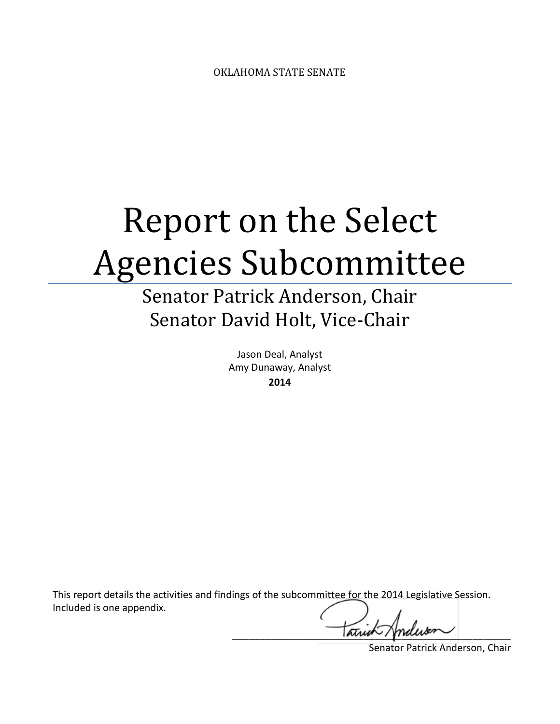# Report on the Select Agencies Subcommittee

## Senator Patrick Anderson, Chair Senator David Holt, Vice-Chair

Jason Deal, Analyst Amy Dunaway, Analyst **2014**

This report details the activities and findings of the subcommittee for the 2014 Legislative Session. Included is one appendix.

 $\overline{\tau}$ 

Senator Patrick Anderson, Chair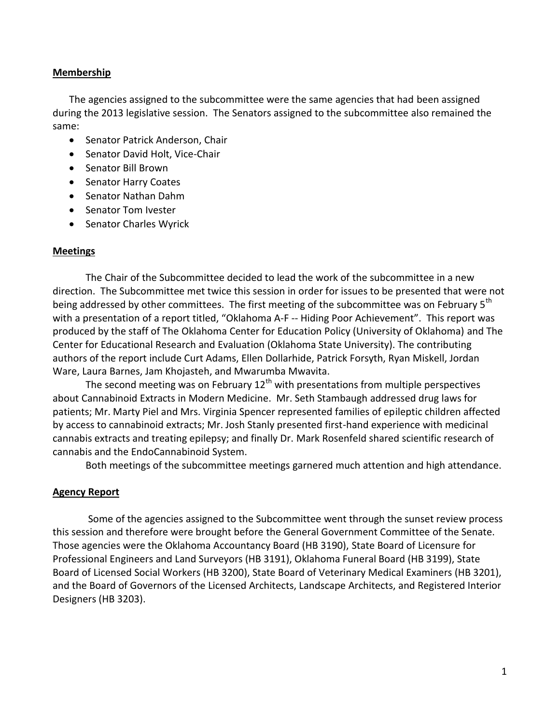#### **Membership**

The agencies assigned to the subcommittee were the same agencies that had been assigned during the 2013 legislative session. The Senators assigned to the subcommittee also remained the same:

- Senator Patrick Anderson, Chair
- Senator David Holt, Vice-Chair
- Senator Bill Brown
- Senator Harry Coates
- Senator Nathan Dahm
- Senator Tom Ivester
- Senator Charles Wyrick

#### **Meetings**

The Chair of the Subcommittee decided to lead the work of the subcommittee in a new direction. The Subcommittee met twice this session in order for issues to be presented that were not being addressed by other committees. The first meeting of the subcommittee was on February 5<sup>th</sup> with a presentation of a report titled, "Oklahoma A-F -- Hiding Poor Achievement". This report was produced by the staff of The Oklahoma Center for Education Policy (University of Oklahoma) and The Center for Educational Research and Evaluation (Oklahoma State University). The contributing authors of the report include Curt Adams, Ellen Dollarhide, Patrick Forsyth, Ryan Miskell, Jordan Ware, Laura Barnes, Jam Khojasteh, and Mwarumba Mwavita.

The second meeting was on February  $12<sup>th</sup>$  with presentations from multiple perspectives about Cannabinoid Extracts in Modern Medicine. Mr. Seth Stambaugh addressed drug laws for patients; Mr. Marty Piel and Mrs. Virginia Spencer represented families of epileptic children affected by access to cannabinoid extracts; Mr. Josh Stanly presented first-hand experience with medicinal cannabis extracts and treating epilepsy; and finally Dr. Mark Rosenfeld shared scientific research of cannabis and the EndoCannabinoid System.

Both meetings of the subcommittee meetings garnered much attention and high attendance.

#### **Agency Report**

Some of the agencies assigned to the Subcommittee went through the sunset review process this session and therefore were brought before the General Government Committee of the Senate. Those agencies were the Oklahoma Accountancy Board (HB 3190), State Board of Licensure for Professional Engineers and Land Surveyors (HB 3191), Oklahoma Funeral Board (HB 3199), State Board of Licensed Social Workers (HB 3200), State Board of Veterinary Medical Examiners (HB 3201), and the Board of Governors of the Licensed Architects, Landscape Architects, and Registered Interior Designers (HB 3203).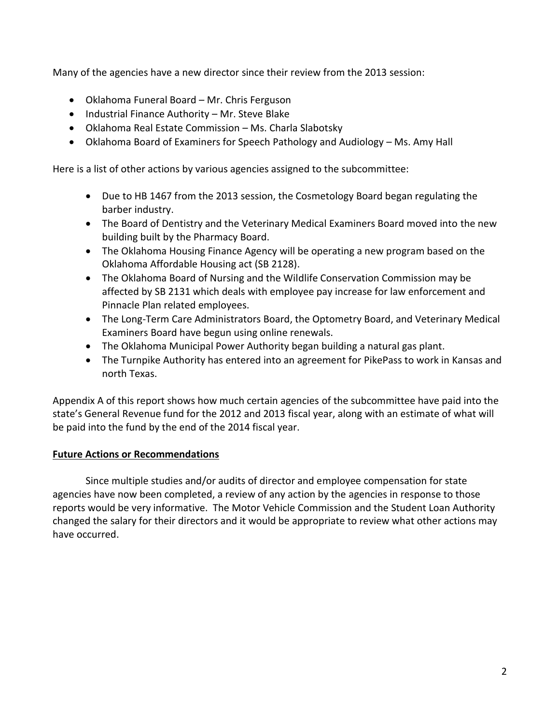Many of the agencies have a new director since their review from the 2013 session:

- Oklahoma Funeral Board Mr. Chris Ferguson
- Industrial Finance Authority Mr. Steve Blake
- Oklahoma Real Estate Commission Ms. Charla Slabotsky
- Oklahoma Board of Examiners for Speech Pathology and Audiology Ms. Amy Hall

Here is a list of other actions by various agencies assigned to the subcommittee:

- Due to HB 1467 from the 2013 session, the Cosmetology Board began regulating the barber industry.
- The Board of Dentistry and the Veterinary Medical Examiners Board moved into the new building built by the Pharmacy Board.
- The Oklahoma Housing Finance Agency will be operating a new program based on the Oklahoma Affordable Housing act (SB 2128).
- The Oklahoma Board of Nursing and the Wildlife Conservation Commission may be affected by SB 2131 which deals with employee pay increase for law enforcement and Pinnacle Plan related employees.
- The Long-Term Care Administrators Board, the Optometry Board, and Veterinary Medical Examiners Board have begun using online renewals.
- The Oklahoma Municipal Power Authority began building a natural gas plant.
- The Turnpike Authority has entered into an agreement for PikePass to work in Kansas and north Texas.

Appendix A of this report shows how much certain agencies of the subcommittee have paid into the state's General Revenue fund for the 2012 and 2013 fiscal year, along with an estimate of what will be paid into the fund by the end of the 2014 fiscal year.

### **Future Actions or Recommendations**

Since multiple studies and/or audits of director and employee compensation for state agencies have now been completed, a review of any action by the agencies in response to those reports would be very informative. The Motor Vehicle Commission and the Student Loan Authority changed the salary for their directors and it would be appropriate to review what other actions may have occurred.